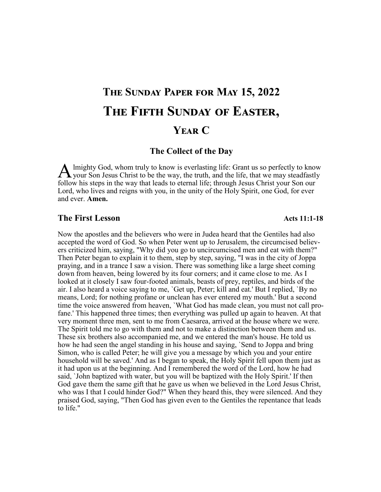# **The Sunday Paper for May 15, 2022 The Fifth Sunday of Easter, Year C**

#### **The Collect of the Day**

A lmighty God, whom truly to know is everlasting life: Grant us so perfectly to know your Son Jesus Christ to be the way, the truth, and the life, that we may steadfastly lmighty God, whom truly to know is everlasting life: Grant us so perfectly to know follow his steps in the way that leads to eternal life; through Jesus Christ your Son our Lord, who lives and reigns with you, in the unity of the Holy Spirit, one God, for ever and ever. **Amen.** 

#### **The First Lesson**

Now the apostles and the believers who were in Judea heard that the Gentiles had also accepted the word of God. So when Peter went up to Jerusalem, the circumcised believers criticized him, saying, "Why did you go to uncircumcised men and eat with them?" Then Peter began to explain it to them, step by step, saying, "I was in the city of Joppa praying, and in a trance I saw a vision. There was something like a large sheet coming down from heaven, being lowered by its four corners; and it came close to me. As I looked at it closely I saw four-footed animals, beasts of prey, reptiles, and birds of the air. I also heard a voice saying to me, `Get up, Peter; kill and eat.' But I replied, `By no means, Lord; for nothing profane or unclean has ever entered my mouth.' But a second time the voice answered from heaven, `What God has made clean, you must not call profane.' This happened three times; then everything was pulled up again to heaven. At that very moment three men, sent to me from Caesarea, arrived at the house where we were. The Spirit told me to go with them and not to make a distinction between them and us. These six brothers also accompanied me, and we entered the man's house. He told us how he had seen the angel standing in his house and saying, `Send to Joppa and bring Simon, who is called Peter; he will give you a message by which you and your entire household will be saved.' And as I began to speak, the Holy Spirit fell upon them just as it had upon us at the beginning. And I remembered the word of the Lord, how he had said, `John baptized with water, but you will be baptized with the Holy Spirit.' If then God gave them the same gift that he gave us when we believed in the Lord Jesus Christ, who was I that I could hinder God?" When they heard this, they were silenced. And they praised God, saying, "Then God has given even to the Gentiles the repentance that leads to life."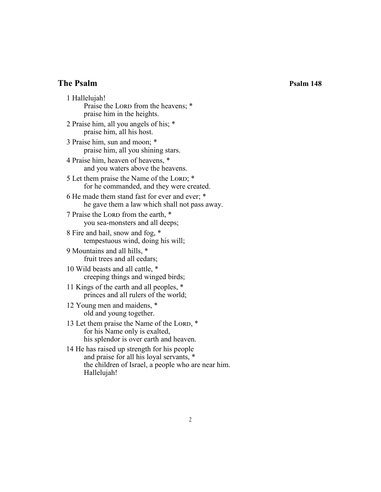# **The Psalm Psalm 148**

1 Hallelujah! Praise the LORD from the heavens; \* praise him in the heights. 2 Praise him, all you angels of his; \* praise him, all his host. 3 Praise him, sun and moon; \* praise him, all you shining stars. 4 Praise him, heaven of heavens, \* and you waters above the heavens. 5 Let them praise the Name of the Lord; \* for he commanded, and they were created. 6 He made them stand fast for ever and ever; \* he gave them a law which shall not pass away. 7 Praise the LORD from the earth,  $*$ you sea-monsters and all deeps; 8 Fire and hail, snow and fog, \* tempestuous wind, doing his will; 9 Mountains and all hills, \* fruit trees and all cedars; 10 Wild beasts and all cattle, \* creeping things and winged birds; 11 Kings of the earth and all peoples, \* princes and all rulers of the world; 12 Young men and maidens, \* old and young together. 13 Let them praise the Name of the LORD, \* for his Name only is exalted, his splendor is over earth and heaven. 14 He has raised up strength for his people and praise for all his loyal servants, \* the children of Israel, a people who are near him.

Hallelujah!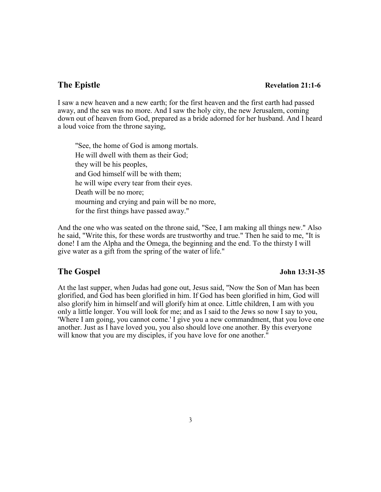#### **The Epistle** Revelation 21:1-6

I saw a new heaven and a new earth; for the first heaven and the first earth had passed away, and the sea was no more. And I saw the holy city, the new Jerusalem, coming down out of heaven from God, prepared as a bride adorned for her husband. And I heard a loud voice from the throne saying,

"See, the home of God is among mortals. He will dwell with them as their God; they will be his peoples, and God himself will be with them; he will wipe every tear from their eyes. Death will be no more; mourning and crying and pain will be no more, for the first things have passed away."

And the one who was seated on the throne said, "See, I am making all things new." Also he said, "Write this, for these words are trustworthy and true." Then he said to me, "It is done! I am the Alpha and the Omega, the beginning and the end. To the thirsty I will give water as a gift from the spring of the water of life."

#### **The Gospel John 13:31-35**

At the last supper, when Judas had gone out, Jesus said, "Now the Son of Man has been glorified, and God has been glorified in him. If God has been glorified in him, God will also glorify him in himself and will glorify him at once. Little children, I am with you only a little longer. You will look for me; and as I said to the Jews so now I say to you, 'Where I am going, you cannot come.' I give you a new commandment, that you love one another. Just as I have loved you, you also should love one another. By this everyone will know that you are my disciples, if you have love for one another."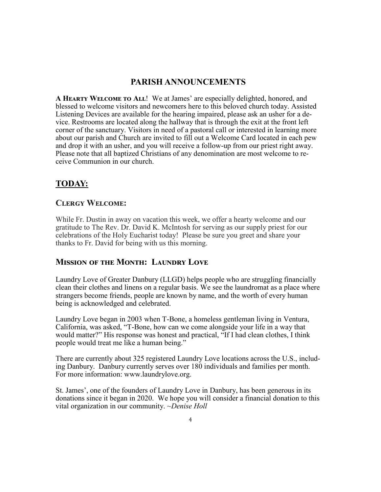# **PARISH ANNOUNCEMENTS**

**A Hearty Welcome to All**! We at James' are especially delighted, honored, and blessed to welcome visitors and newcomers here to this beloved church today. Assisted Listening Devices are available for the hearing impaired, please ask an usher for a device. Restrooms are located along the hallway that is through the exit at the front left corner of the sanctuary. Visitors in need of a pastoral call or interested in learning more about our parish and Church are invited to fill out a Welcome Card located in each pew and drop it with an usher, and you will receive a follow-up from our priest right away. Please note that all baptized Christians of any denomination are most welcome to receive Communion in our church.

# **TODAY:**

# **Clergy Welcome:**

While Fr. Dustin in away on vacation this week, we offer a hearty welcome and our gratitude to The Rev. Dr. David K. McIntosh for serving as our supply priest for our celebrations of the Holy Eucharist today! Please be sure you greet and share your thanks to Fr. David for being with us this morning.

# **Mission of the Month: Laundry Love**

Laundry Love of Greater Danbury (LLGD) helps people who are struggling financially clean their clothes and linens on a regular basis. We see the laundromat as a place where strangers become friends, people are known by name, and the worth of every human being is acknowledged and celebrated.

Laundry Love began in 2003 when T-Bone, a homeless gentleman living in Ventura, California, was asked, "T-Bone, how can we come alongside your life in a way that would matter?" His response was honest and practical, "If I had clean clothes, I think people would treat me like a human being."

There are currently about 325 registered Laundry Love locations across the U.S., including Danbury. Danbury currently serves over 180 individuals and families per month. For more information: www.laundrylove.org.

St. James', one of the founders of Laundry Love in Danbury, has been generous in its donations since it began in 2020. We hope you will consider a financial donation to this vital organization in our community. *~Denise Holl*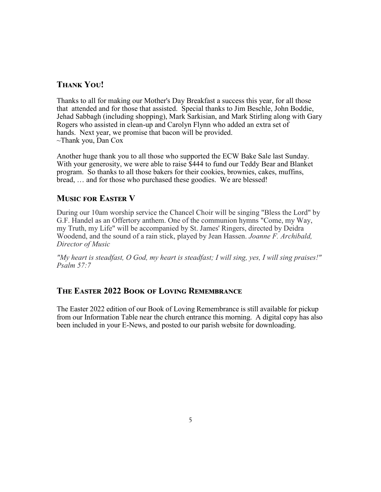# **Thank You!**

Thanks to all for making our Mother's Day Breakfast a success this year, for all those that attended and for those that assisted. Special thanks to Jim Beschle, John Boddie, Jehad Sabbagh (including shopping), Mark Sarkisian, and Mark Stirling along with Gary Rogers who assisted in clean-up and Carolyn Flynn who added an extra set of hands. Next year, we promise that bacon will be provided. ~Thank you, Dan Cox

Another huge thank you to all those who supported the ECW Bake Sale last Sunday. With your generosity, we were able to raise \$444 to fund our Teddy Bear and Blanket program. So thanks to all those bakers for their cookies, brownies, cakes, muffins, bread, … and for those who purchased these goodies. We are blessed!

### **Music for Easter V**

During our 10am worship service the Chancel Choir will be singing "Bless the Lord" by G.F. Handel as an Offertory anthem. One of the communion hymns "Come, my Way, my Truth, my Life" will be accompanied by St. James' Ringers, directed by Deidra Woodend, and the sound of a rain stick, played by Jean Hassen. *Joanne F. Archibald, Director of Music*

*"My heart is steadfast, O God, my heart is steadfast; I will sing, yes, I will sing praises!" Psalm 57:7*

### **The Easter 2022 Book of Loving Remembrance**

The Easter 2022 edition of our Book of Loving Remembrance is still available for pickup from our Information Table near the church entrance this morning. A digital copy has also been included in your E-News, and posted to our parish website for downloading.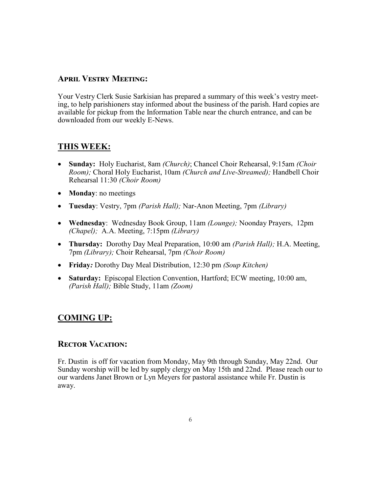# **April Vestry Meeting:**

Your Vestry Clerk Susie Sarkisian has prepared a summary of this week's vestry meeting, to help parishioners stay informed about the business of the parish. Hard copies are available for pickup from the Information Table near the church entrance, and can be downloaded from our weekly E-News.

# **THIS WEEK:**

- **Sunday:** Holy Eucharist, 8am *(Church)*; Chancel Choir Rehearsal, 9:15am *(Choir Room);* Choral Holy Eucharist, 10am *(Church and Live-Streamed);* Handbell Choir Rehearsal 11:30 *(Choir Room)*
- **Monday**: no meetings
- **Tuesday**: Vestry, 7pm *(Parish Hall);* Nar-Anon Meeting, 7pm *(Library)*
- **Wednesday**: Wednesday Book Group, 11am *(Lounge);* Noonday Prayers, 12pm *(Chapel);* A.A. Meeting, 7:15pm *(Library)*
- **Thursday:** Dorothy Day Meal Preparation, 10:00 am *(Parish Hall);* H.A. Meeting, 7pm *(Library);* Choir Rehearsal, 7pm *(Choir Room)*
- **Friday***:* Dorothy Day Meal Distribution, 12:30 pm *(Soup Kitchen)*
- **Saturday:** Episcopal Election Convention, Hartford; ECW meeting, 10:00 am, *(Parish Hall);* Bible Study, 11am *(Zoom)*

# **COMING UP:**

### **Rector Vacation:**

Fr. Dustin is off for vacation from Monday, May 9th through Sunday, May 22nd. Our Sunday worship will be led by supply clergy on May 15th and 22nd. Please reach our to our wardens Janet Brown or Lyn Meyers for pastoral assistance while Fr. Dustin is away.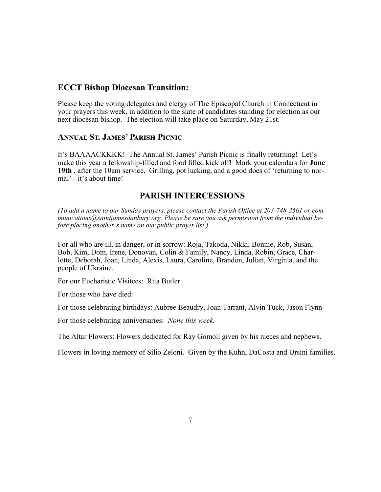# **ECCT Bishop Diocesan Transition:**

Please keep the voting delegates and clergy of The Episcopal Church in Connecticut in your prayers this week, in addition to the slate of candidates standing for election as our next diocesan bishop. The election will take place on Saturday, May 21st.

### **Annual St. James' Parish Picnic**

It's BAAAACKKKK! The Annual St. James' Parish Picnic is finally returning! Let's make this year a fellowship-filled and food filled kick off! Mark your calendars for **June 19th** , after the 10am service. Grilling, pot lucking, and a good does of 'returning to normal' - it's about time!

### **PARISH INTERCESSIONS**

*(To add a name to our Sunday prayers, please contact the Parish Office at 203-748-3561 or communications@saintjamesdanbury.org. Please be sure you ask permission from the individual before placing another's name on our public prayer list.)*

For all who are ill, in danger, or in sorrow: Roja, Takoda, Nikki, Bonnie, Rob, Susan, Bob, Kim, Dom, Irene, Donovan, Colin & Family, Nancy, Linda, Robin, Grace, Charlotte, Deborah, Joan, Linda, Alexis, Laura, Caroline, Brandon, Julian, Virginia, and the people of Ukraine.

For our Eucharistic Visitees: Rita Butler

For those who have died:

For those celebrating birthdays: Aubree Beaudry, Joan Tarrant, Alvin Tuck, Jason Flynn

For those celebrating anniversaries: *None this week.*

The Altar Flowers: Flowers dedicated for Ray Gomoll given by his nieces and nephews.

Flowers in loving memory of Silio Zeloni. Given by the Kuhn, DaCosta and Ursini families.